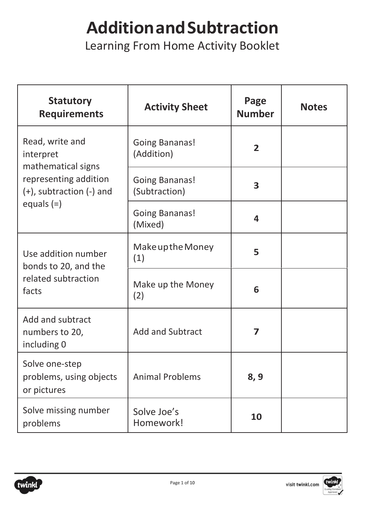#### **AdditionandSubtraction**

Learning From Home Activity Booklet

| <b>Statutory</b><br><b>Requirements</b>                  | <b>Activity Sheet</b>                  | Page<br><b>Number</b> | <b>Notes</b> |
|----------------------------------------------------------|----------------------------------------|-----------------------|--------------|
| Read, write and<br>interpret<br>mathematical signs       | <b>Going Bananas!</b><br>(Addition)    | $\overline{2}$        |              |
| representing addition<br>$(+)$ , subtraction $(-)$ and   | <b>Going Bananas!</b><br>(Subtraction) | 3                     |              |
| equals $(=)$                                             | <b>Going Bananas!</b><br>(Mixed)       | 4                     |              |
| Use addition number<br>bonds to 20, and the              | Make up the Money<br>(1)               | 5                     |              |
| related subtraction<br>facts                             | Make up the Money<br>(2)               | 6                     |              |
| Add and subtract<br>numbers to 20,<br>including 0        | <b>Add and Subtract</b>                | 7                     |              |
| Solve one-step<br>problems, using objects<br>or pictures | <b>Animal Problems</b>                 | 8, 9                  |              |
| Solve missing number<br>problems                         | Solve Joe's<br>Homework!               | 10                    |              |



visit twinkl.com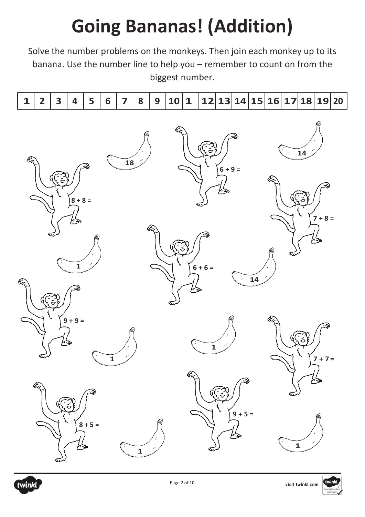# **Going Bananas! (Addition)**

Solve the number problems on the monkeys. Then join each monkey up to its banana. Use the number line to help you – remember to count on from the biggest number.

| 12 13 14 15 16 17 18 19 20 |  |
|----------------------------|--|
|----------------------------|--|





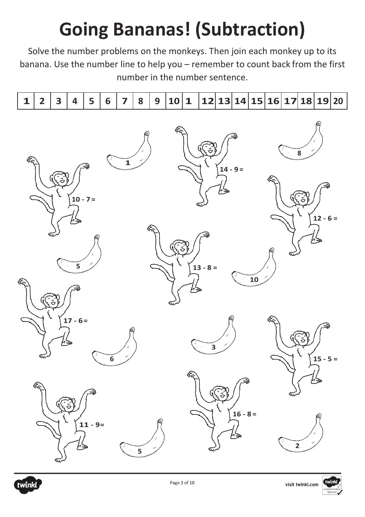# **Going Bananas! (Subtraction)**

Solve the number problems on the monkeys. Then join each monkey up to its banana. Use the number line to help you – remember to count back from the first number in the number sentence.

|  |  |  |  |  | 121314151617 |  |  |  | 18 19 20 |  |
|--|--|--|--|--|--------------|--|--|--|----------|--|



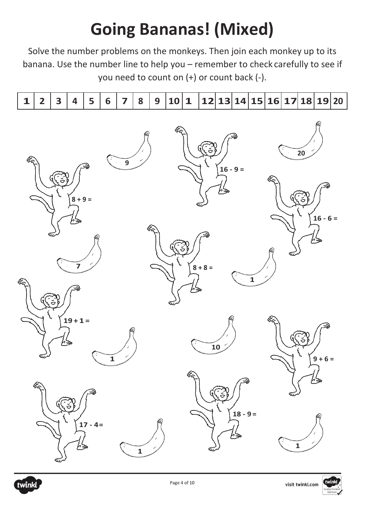#### **Going Bananas! (Mixed)**

Solve the number problems on the monkeys. Then join each monkey up to its banana. Use the number line to help you – remember to check carefully to see if you need to count on (+) or count back (-).

|--|



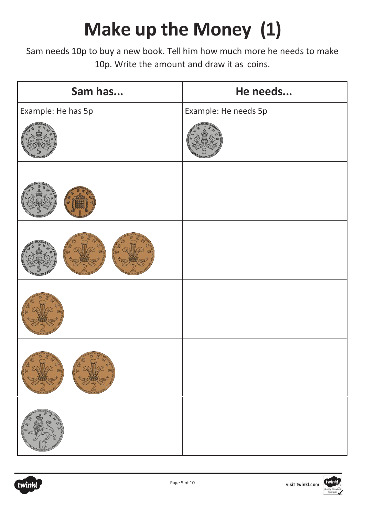# **Make up the Money (1)**

Sam needs 10p to buy a new book. Tell him how much more he needs to make 10p. Write the amount and draw it as coins.

| Sam has            | He needs             |
|--------------------|----------------------|
| Example: He has 5p | Example: He needs 5p |
|                    |                      |
|                    |                      |
|                    |                      |
|                    |                      |
|                    |                      |
|                    |                      |



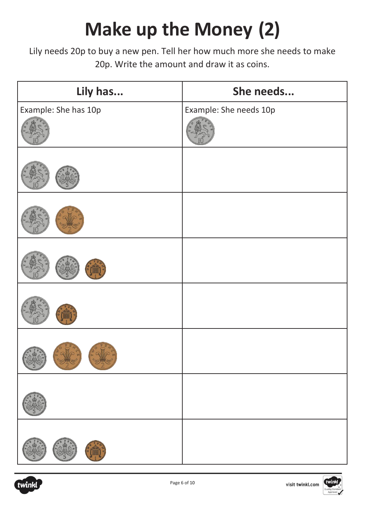# **Make up the Money (2)**

Lily needs 20p to buy a new pen. Tell her how much more she needs to make 20p. Write the amount and draw it as coins.

| Lily has             | She needs              |
|----------------------|------------------------|
| Example: She has 10p | Example: She needs 10p |
|                      |                        |
|                      |                        |
|                      |                        |
|                      |                        |
|                      |                        |
| $\circledR$          |                        |
|                      |                        |
|                      |                        |



visit twinkl.com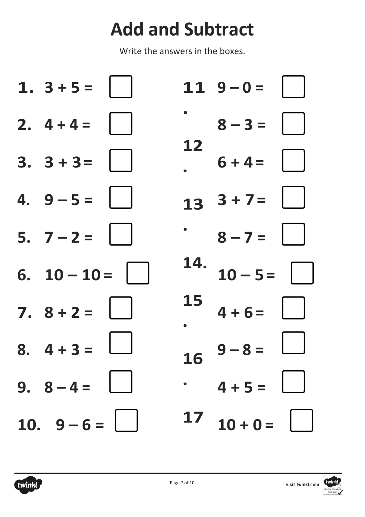#### **Add and Subtract**

Write the answers in the boxes.



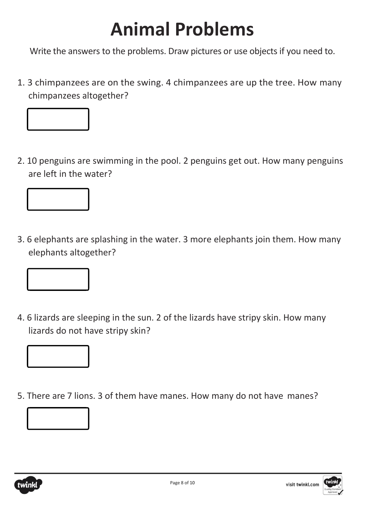#### **Animal Problems**

Write the answers to the problems. Draw pictures or use objects if you need to.

1. 3 chimpanzees are on the swing. 4 chimpanzees are up the tree. How many chimpanzees altogether?



2. 10 penguins are swimming in the pool. 2 penguins get out. How many penguins are left in the water?



3. 6 elephants are splashing in the water. 3 more elephants join them. How many elephants altogether?



4. 6 lizards are sleeping in the sun. 2 of the lizards have stripy skin. How many lizards do not have stripy skin?



5. There are 7 lions. 3 of them have manes. How many do not have manes?





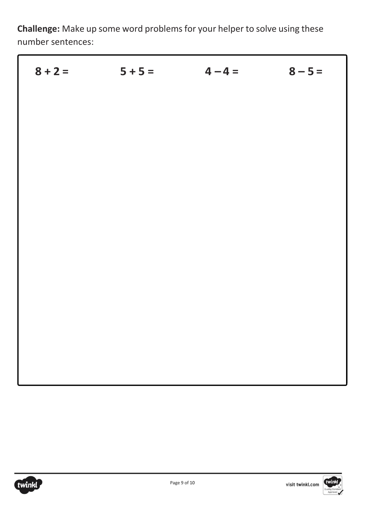**Challenge:** Make up some word problems for your helper to solve using these number sentences:

| $8 + 2 = 5 + 5 = 4 - 4 = 8 - 5 = 5$ |  |
|-------------------------------------|--|
|                                     |  |
|                                     |  |
|                                     |  |
|                                     |  |
|                                     |  |
|                                     |  |
|                                     |  |
|                                     |  |
|                                     |  |
|                                     |  |
|                                     |  |